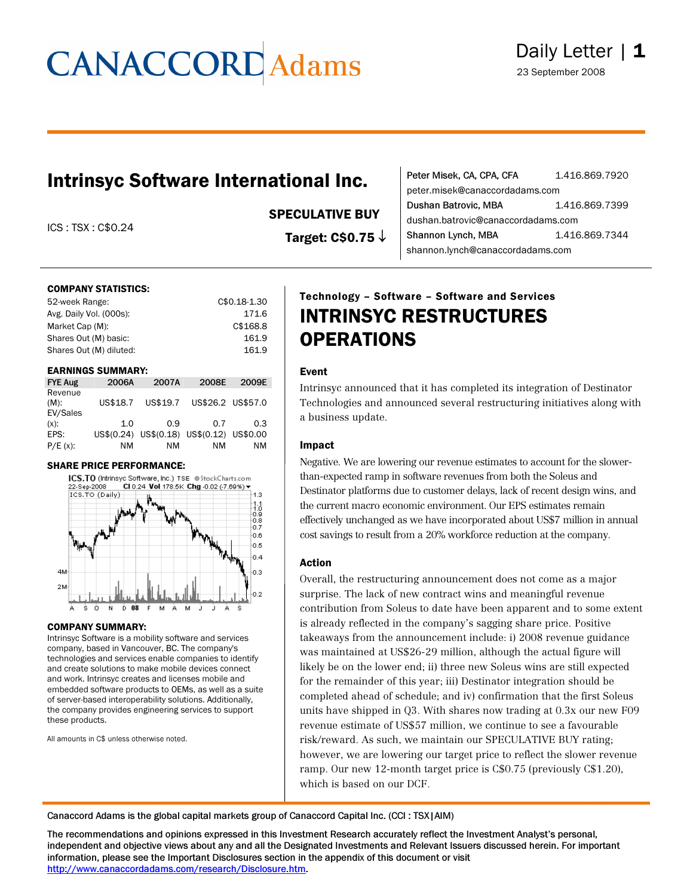### Intrinsyc Software International Inc.

ICS : TSX : C\$0.24

#### SPECULATIVE BUY

Target: C\$0.75 ↓

| Peter Misek, CA, CPA, CFA          | 1.416.869.7920 |
|------------------------------------|----------------|
| peter.misek@canaccordadams.com     |                |
| Dushan Batrovic, MBA               | 1.416.869.7399 |
| dushan.batrovic@canaccordadams.com |                |
| Shannon Lynch, MBA                 | 1.416.869.7344 |
| shannon.lynch@canaccordadams.com   |                |
|                                    |                |

#### COMPANY STATISTICS:

| 52-week Range:          | C\$0.18-1.30 |
|-------------------------|--------------|
| Avg. Daily Vol. (000s): | 171.6        |
| Market Cap (M):         | C\$168.8     |
| Shares Out (M) basic:   | 161.9        |
| Shares Out (M) diluted: | 161.9        |
|                         |              |

#### EARNINGS SUMMARY:

| <b>FYE Aug</b>                 | 2006A    | 2007A                                     | 2008E | 2009E             |
|--------------------------------|----------|-------------------------------------------|-------|-------------------|
| Revenue<br>$(M)$ :<br>EV/Sales | US\$18.7 | US\$19.7                                  |       | US\$26.2 US\$57.0 |
| $(x)$ :                        | 1.0      | 0.9                                       | 0.7   | 0.3               |
| EPS:                           |          | US\$(0.24) US\$(0.18) US\$(0.12) US\$0.00 |       |                   |
| $P/E(x)$ :                     | ΝM       | ΝM                                        | NM    | ΝM                |

#### SHARE PRICE PERFORMANCE:



#### COMPANY SUMMARY:

Intrinsyc Software is a mobility software and services company, based in Vancouver, BC. The company's technologies and services enable companies to identify and create solutions to make mobile devices connect and work. Intrinsyc creates and licenses mobile and embedded software products to OEMs, as well as a suite of server-based interoperability solutions. Additionally, the company provides engineering services to support these products.

All amounts in C\$ unless otherwise noted.

### Technology – Software – Software and Services INTRINSYC RESTRUCTURES **OPERATIONS**

#### Event

Intrinsyc announced that it has completed its integration of Destinator Technologies and announced several restructuring initiatives along with a business update.

#### Impact

Negative. We are lowering our revenue estimates to account for the slowerthan-expected ramp in software revenues from both the Soleus and Destinator platforms due to customer delays, lack of recent design wins, and the current macro economic environment. Our EPS estimates remain effectively unchanged as we have incorporated about US\$7 million in annual cost savings to result from a 20% workforce reduction at the company.

#### Action

Overall, the restructuring announcement does not come as a major surprise. The lack of new contract wins and meaningful revenue contribution from Soleus to date have been apparent and to some extent is already reflected in the company's sagging share price. Positive takeaways from the announcement include: i) 2008 revenue guidance was maintained at US\$26-29 million, although the actual figure will likely be on the lower end; ii) three new Soleus wins are still expected for the remainder of this year; iii) Destinator integration should be completed ahead of schedule; and iv) confirmation that the first Soleus units have shipped in Q3. With shares now trading at 0.3x our new F09 revenue estimate of US\$57 million, we continue to see a favourable risk/reward. As such, we maintain our SPECULATIVE BUY rating; however, we are lowering our target price to reflect the slower revenue ramp. Our new 12-month target price is C\$0.75 (previously C\$1.20), which is based on our DCF.

Canaccord Adams is the global capital markets group of Canaccord Capital Inc. (CCI : TSX|AIM)

The recommendations and opinions expressed in this Investment Research accurately reflect the Investment Analyst's personal, independent and objective views about any and all the Designated Investments and Relevant Issuers discussed herein. For important information, please see the Important Disclosures section in the appendix of this document or visit <http://www.canaccordadams.com/research/Disclosure.htm>.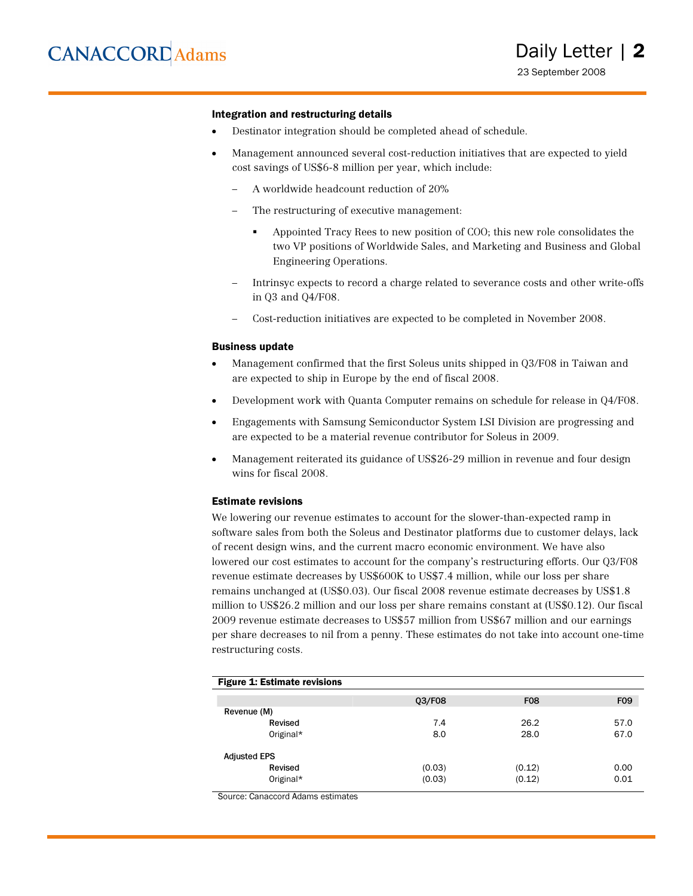#### Integration and restructuring details

- Destinator integration should be completed ahead of schedule.
- Management announced several cost-reduction initiatives that are expected to yield cost savings of US\$6-8 million per year, which include:
	- A worldwide headcount reduction of 20%
	- The restructuring of executive management:
		- Appointed Tracy Rees to new position of COO; this new role consolidates the two VP positions of Worldwide Sales, and Marketing and Business and Global Engineering Operations.
	- Intrinsyc expects to record a charge related to severance costs and other write-offs in Q3 and Q4/F08.
	- Cost-reduction initiatives are expected to be completed in November 2008.

#### Business update

- Management confirmed that the first Soleus units shipped in Q3/F08 in Taiwan and are expected to ship in Europe by the end of fiscal 2008.
- Development work with Quanta Computer remains on schedule for release in Q4/F08.
- Engagements with Samsung Semiconductor System LSI Division are progressing and are expected to be a material revenue contributor for Soleus in 2009.
- Management reiterated its guidance of US\$26-29 million in revenue and four design wins for fiscal 2008.

#### Estimate revisions

We lowering our revenue estimates to account for the slower-than-expected ramp in software sales from both the Soleus and Destinator platforms due to customer delays, lack of recent design wins, and the current macro economic environment. We have also lowered our cost estimates to account for the company's restructuring efforts. Our Q3/F08 revenue estimate decreases by US\$600K to US\$7.4 million, while our loss per share remains unchanged at (US\$0.03). Our fiscal 2008 revenue estimate decreases by US\$1.8 million to US\$26.2 million and our loss per share remains constant at (US\$0.12). Our fiscal 2009 revenue estimate decreases to US\$57 million from US\$67 million and our earnings per share decreases to nil from a penny. These estimates do not take into account one-time restructuring costs.

| <b>Figure 1: Estimate revisions</b> |        |            |      |
|-------------------------------------|--------|------------|------|
|                                     | 03/F08 | <b>F08</b> | F09  |
| Revenue (M)                         |        |            |      |
| Revised                             | 7.4    | 26.2       | 57.0 |
| Original*                           | 8.0    | 28.0       | 67.0 |
| <b>Adjusted EPS</b>                 |        |            |      |
| Revised                             | (0.03) | (0.12)     | 0.00 |
| Original*                           | (0.03) | (0.12)     | 0.01 |

Source: Canaccord Adams estimates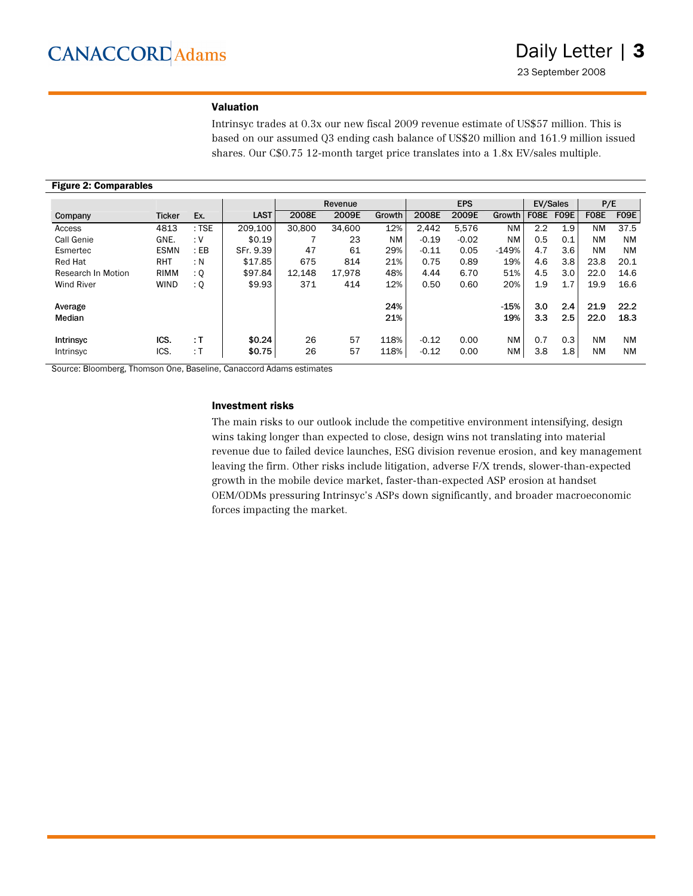#### Valuation

Intrinsyc trades at 0.3x our new fiscal 2009 revenue estimate of US\$57 million. This is based on our assumed Q3 ending cash balance of US\$20 million and 161.9 million issued shares. Our C\$0.75 12-month target price translates into a 1.8x EV/sales multiple.

| <b>Figure 2: Comparables</b> |               |         |             |        |         |        |         |            |           |             |                 |             |           |
|------------------------------|---------------|---------|-------------|--------|---------|--------|---------|------------|-----------|-------------|-----------------|-------------|-----------|
|                              |               |         |             |        | Revenue |        |         | <b>EPS</b> |           |             | <b>EV/Sales</b> | P/E         |           |
| Company                      | <b>Ticker</b> | Ex.     | <b>LAST</b> | 2008E  | 2009E   | Growth | 2008E   | 2009E      | Growth    | <b>F08E</b> | <b>F09E</b>     | <b>F08E</b> | F09E      |
| Access                       | 4813          | $:$ TSE | 209.100     | 30.800 | 34.600  | 12%    | 2.442   | 5.576      | <b>NM</b> | 2.2         | 1.9             | <b>NM</b>   | 37.5      |
| Call Genie                   | GNE.          | :V      | \$0.19      |        | 23      | NM     | $-0.19$ | $-0.02$    | <b>NM</b> | 0.5         | 0.1             | NM          | <b>NM</b> |
| Esmertec                     | <b>ESMN</b>   | : EB    | SFr. 9.39   | 47     | 61      | 29%    | $-0.11$ | 0.05       | $-149%$   | 4.7         | 3.6             | <b>NM</b>   | <b>NM</b> |
| <b>Red Hat</b>               | <b>RHT</b>    | : N     | \$17.85     | 675    | 814     | 21%    | 0.75    | 0.89       | 19%       | 4.6         | 3.8             | 23.8        | 20.1      |
| Research In Motion           | <b>RIMM</b>   | : Q     | \$97.84     | 12.148 | 17.978  | 48%    | 4.44    | 6.70       | 51%       | 4.5         | 3.0             | 22.0        | 14.6      |
| <b>Wind River</b>            | <b>WIND</b>   | : Q     | \$9.93      | 371    | 414     | 12%    | 0.50    | 0.60       | 20%       | 1.9         | 1.7             | 19.9        | 16.6      |
| Average                      |               |         |             |        |         | 24%    |         |            | $-15%$    | 3.0         | 2.4             | 21.9        | 22.2      |
| Median                       |               |         |             |        |         | 21%    |         |            | 19%       | 3.3         | 2.5             | 22.0        | 18.3      |
| Intrinsyc                    | ICS.          | : T     | \$0.24      | 26     | 57      | 118%   | $-0.12$ | 0.00       | <b>NM</b> | 0.7         | 0.3             | <b>NM</b>   | <b>NM</b> |
| Intrinsyc                    | ICS.          | : T     | \$0.75      | 26     | 57      | 118%   | $-0.12$ | 0.00       | NM        | 3.8         | 1.8             | <b>NM</b>   | <b>NM</b> |

Source: Bloomberg, Thomson One, Baseline, Canaccord Adams estimates

#### Investment risks

The main risks to our outlook include the competitive environment intensifying, design wins taking longer than expected to close, design wins not translating into material revenue due to failed device launches, ESG division revenue erosion, and key management leaving the firm. Other risks include litigation, adverse F/X trends, slower-than-expected growth in the mobile device market, faster-than-expected ASP erosion at handset OEM/ODMs pressuring Intrinsyc's ASPs down significantly, and broader macroeconomic forces impacting the market.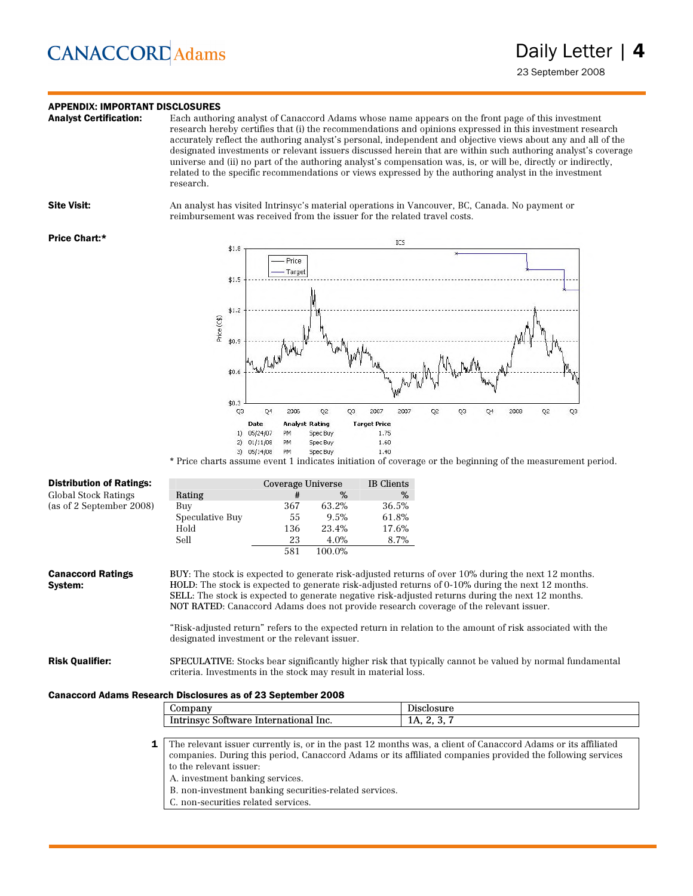### **APPENDIX: IMPORTANT DISCLOSURES**<br>**Analyst Certification:** Each author

Each authoring analyst of Canaccord Adams whose name appears on the front page of this investment research hereby certifies that (i) the recommendations and opinions expressed in this investment research accurately reflect the authoring analyst's personal, independent and objective views about any and all of the designated investments or relevant issuers discussed herein that are within such authoring analyst's coverage universe and (ii) no part of the authoring analyst's compensation was, is, or will be, directly or indirectly, related to the specific recommendations or views expressed by the authoring analyst in the investment research.

Site Visit: An analyst has visited Intrinsyc's material operations in Vancouver, BC, Canada. No payment or reimbursement was received from the issuer for the related travel costs.

#### Price Chart:\*



\* Price charts assume event 1 indicates initiation of coverage or the beginning of the measurement period.

| <b>Distribution of Ratings:</b>                                     |                                                                                                                                                                                                                                                                                                                                                                                                                                                                                                                                                                       | Coverage Universe |        | <b>IB</b> Clients |                                                                                                                                                                                                                             |
|---------------------------------------------------------------------|-----------------------------------------------------------------------------------------------------------------------------------------------------------------------------------------------------------------------------------------------------------------------------------------------------------------------------------------------------------------------------------------------------------------------------------------------------------------------------------------------------------------------------------------------------------------------|-------------------|--------|-------------------|-----------------------------------------------------------------------------------------------------------------------------------------------------------------------------------------------------------------------------|
| Global Stock Ratings                                                | Rating                                                                                                                                                                                                                                                                                                                                                                                                                                                                                                                                                                | #                 | $\%$   | $\%$              |                                                                                                                                                                                                                             |
| (as of 2 September 2008)                                            | Buy                                                                                                                                                                                                                                                                                                                                                                                                                                                                                                                                                                   | 367               | 63.2%  | 36.5%             |                                                                                                                                                                                                                             |
|                                                                     | Speculative Buy                                                                                                                                                                                                                                                                                                                                                                                                                                                                                                                                                       | 55                | 9.5%   | 61.8%             |                                                                                                                                                                                                                             |
|                                                                     | Hold                                                                                                                                                                                                                                                                                                                                                                                                                                                                                                                                                                  | 136               | 23.4%  | 17.6%             |                                                                                                                                                                                                                             |
|                                                                     | Sell                                                                                                                                                                                                                                                                                                                                                                                                                                                                                                                                                                  | 23                | 4.0%   | $8.7\%$           |                                                                                                                                                                                                                             |
|                                                                     |                                                                                                                                                                                                                                                                                                                                                                                                                                                                                                                                                                       | 581               | 100.0% |                   |                                                                                                                                                                                                                             |
| <b>Canaccord Ratings</b><br>System:                                 | BUY: The stock is expected to generate risk-adjusted returns of over 10% during the next 12 months.<br>HOLD: The stock is expected to generate risk-adjusted returns of 0-10% during the next 12 months.<br>SELL: The stock is expected to generate negative risk-adjusted returns during the next 12 months.<br>NOT RATED: Canaccord Adams does not provide research coverage of the relevant issuer.<br>"Risk-adjusted return" refers to the expected return in relation to the amount of risk associated with the<br>designated investment or the relevant issuer. |                   |        |                   |                                                                                                                                                                                                                             |
| <b>Risk Qualifier:</b>                                              | <b>SPECULATIVE:</b> Stocks bear significantly higher risk that typically cannot be valued by normal fundamental<br>criteria. Investments in the stock may result in material loss.                                                                                                                                                                                                                                                                                                                                                                                    |                   |        |                   |                                                                                                                                                                                                                             |
| <b>Canaccord Adams Research Disclosures as of 23 September 2008</b> |                                                                                                                                                                                                                                                                                                                                                                                                                                                                                                                                                                       |                   |        |                   |                                                                                                                                                                                                                             |
|                                                                     | Company                                                                                                                                                                                                                                                                                                                                                                                                                                                                                                                                                               |                   |        |                   | Disclosure                                                                                                                                                                                                                  |
|                                                                     | Intrinsyc Software International Inc.                                                                                                                                                                                                                                                                                                                                                                                                                                                                                                                                 |                   |        |                   | 1A, 2, 3, 7                                                                                                                                                                                                                 |
|                                                                     |                                                                                                                                                                                                                                                                                                                                                                                                                                                                                                                                                                       |                   |        |                   |                                                                                                                                                                                                                             |
| 1                                                                   | to the relevant issuer:<br>A. investment banking services.                                                                                                                                                                                                                                                                                                                                                                                                                                                                                                            |                   |        |                   | The relevant issuer currently is, or in the past 12 months was, a client of Canaccord Adams or its affiliated<br>companies. During this period, Canaccord Adams or its affiliated companies provided the following services |

- B. non-investment banking securities-related services.
- C. non-securities related services.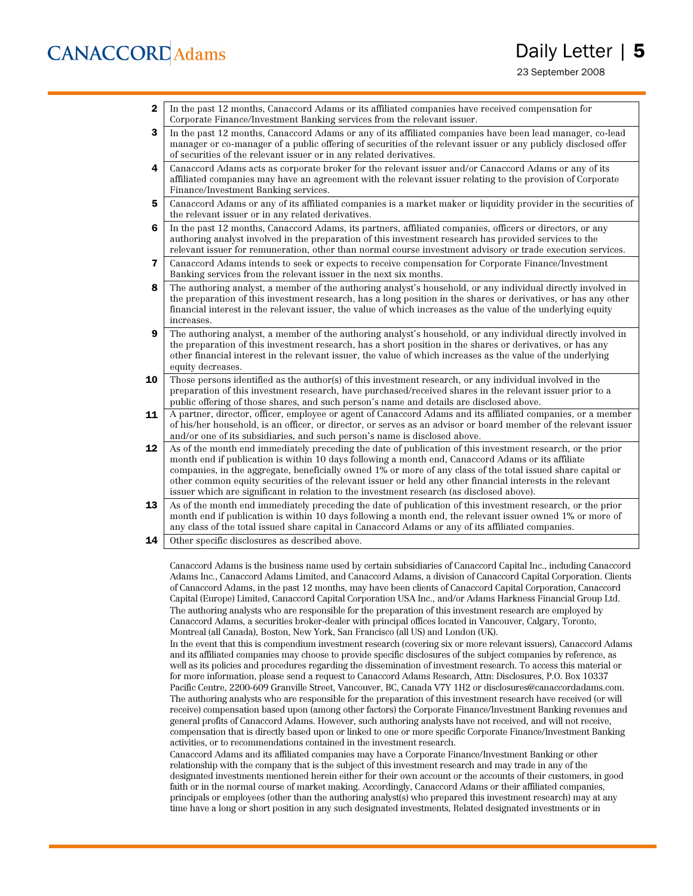23 September 2008

2 In the past 12 months, Canaccord Adams or its affiliated companies have received compensation for Corporate Finance/Investment Banking services from the relevant issuer.

3 In the past 12 months, Canaccord Adams or any of its affiliated companies have been lead manager, co-lead manager or co-manager of a public offering of securities of the relevant issuer or any publicly disclosed offer of securities of the relevant issuer or in any related derivatives.

- 4 Canaccord Adams acts as corporate broker for the relevant issuer and/or Canaccord Adams or any of its affiliated companies may have an agreement with the relevant issuer relating to the provision of Corporate Finance/Investment Banking services.
- 5 Canaccord Adams or any of its affiliated companies is a market maker or liquidity provider in the securities of the relevant issuer or in any related derivatives.
- 6 In the past 12 months, Canaccord Adams, its partners, affiliated companies, officers or directors, or any authoring analyst involved in the preparation of this investment research has provided services to the relevant issuer for remuneration, other than normal course investment advisory or trade execution services.
- 7 Canaccord Adams intends to seek or expects to receive compensation for Corporate Finance/Investment Banking services from the relevant issuer in the next six months.
- 8 The authoring analyst, a member of the authoring analyst's household, or any individual directly involved in the preparation of this investment research, has a long position in the shares or derivatives, or has any other financial interest in the relevant issuer, the value of which increases as the value of the underlying equity increases.
- 9 The authoring analyst, a member of the authoring analyst's household, or any individual directly involved in the preparation of this investment research, has a short position in the shares or derivatives, or has any other financial interest in the relevant issuer, the value of which increases as the value of the underlying equity decreases.
- **10** Those persons identified as the author(s) of this investment research, or any individual involved in the preparation of this investment research, have purchased/received shares in the relevant issuer prior to a public offering of those shares, and such person's name and details are disclosed above.
- 11 A partner, director, officer, employee or agent of Canaccord Adams and its affiliated companies, or a member of his/her household, is an officer, or director, or serves as an advisor or board member of the relevant issuer and/or one of its subsidiaries, and such person's name is disclosed above.
- 12 As of the month end immediately preceding the date of publication of this investment research, or the prior month end if publication is within 10 days following a month end, Canaccord Adams or its affiliate companies, in the aggregate, beneficially owned 1% or more of any class of the total issued share capital or other common equity securities of the relevant issuer or held any other financial interests in the relevant issuer which are significant in relation to the investment research (as disclosed above).
- 13 As of the month end immediately preceding the date of publication of this investment research, or the prior month end if publication is within 10 days following a month end, the relevant issuer owned 1% or more of any class of the total issued share capital in Canaccord Adams or any of its affiliated companies.
- **14** Other specific disclosures as described above.

Canaccord Adams is the business name used by certain subsidiaries of Canaccord Capital Inc., including Canaccord Adams Inc., Canaccord Adams Limited, and Canaccord Adams, a division of Canaccord Capital Corporation. Clients of Canaccord Adams, in the past 12 months, may have been clients of Canaccord Capital Corporation, Canaccord Capital (Europe) Limited, Canaccord Capital Corporation USA Inc., and/or Adams Harkness Financial Group Ltd. The authoring analysts who are responsible for the preparation of this investment research are employed by Canaccord Adams, a securities broker-dealer with principal offices located in Vancouver, Calgary, Toronto, Montreal (all Canada), Boston, New York, San Francisco (all US) and London (UK).

In the event that this is compendium investment research (covering six or more relevant issuers), Canaccord Adams and its affiliated companies may choose to provide specific disclosures of the subject companies by reference, as well as its policies and procedures regarding the dissemination of investment research. To access this material or for more information, please send a request to Canaccord Adams Research, Attn: Disclosures, P.O. Box 10337 Pacific Centre, 2200-609 Granville Street, Vancouver, BC, Canada V7Y 1H2 or disclosures@canaccordadams.com. The authoring analysts who are responsible for the preparation of this investment research have received (or will receive) compensation based upon (among other factors) the Corporate Finance/Investment Banking revenues and general profits of Canaccord Adams. However, such authoring analysts have not received, and will not receive, compensation that is directly based upon or linked to one or more specific Corporate Finance/Investment Banking activities, or to recommendations contained in the investment research.

Canaccord Adams and its affiliated companies may have a Corporate Finance/Investment Banking or other relationship with the company that is the subject of this investment research and may trade in any of the designated investments mentioned herein either for their own account or the accounts of their customers, in good faith or in the normal course of market making. Accordingly, Canaccord Adams or their affiliated companies, principals or employees (other than the authoring analyst(s) who prepared this investment research) may at any time have a long or short position in any such designated investments, Related designated investments or in